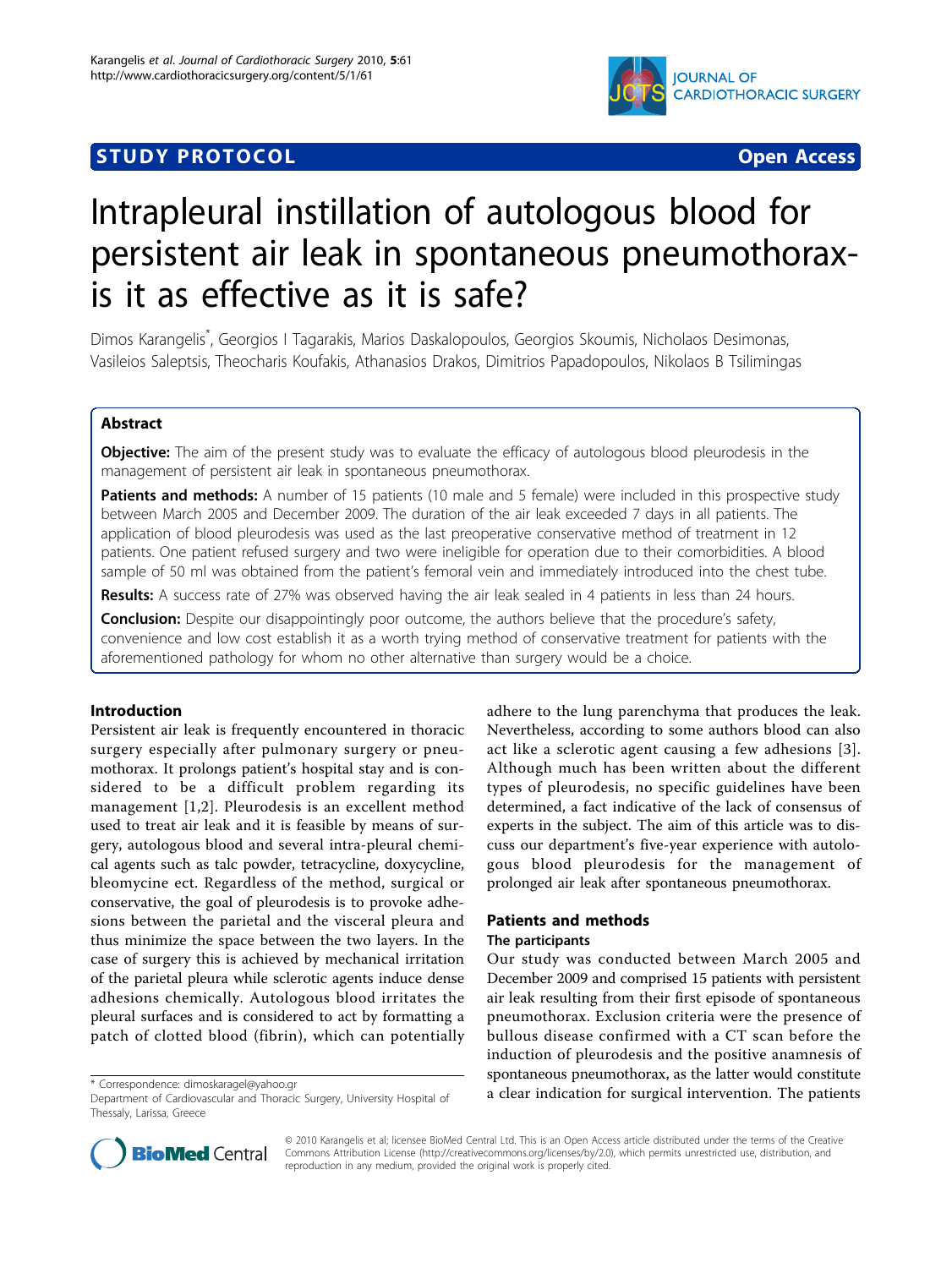## **STUDY PROTOCOL CONSUMING ACCESS**



# Intrapleural instillation of autologous blood for persistent air leak in spontaneous pneumothoraxis it as effective as it is safe?

Dimos Karangelis\* , Georgios I Tagarakis, Marios Daskalopoulos, Georgios Skoumis, Nicholaos Desimonas, Vasileios Saleptsis, Theocharis Koufakis, Athanasios Drakos, Dimitrios Papadopoulos, Nikolaos B Tsilimingas

## Abstract

**Objective:** The aim of the present study was to evaluate the efficacy of autologous blood pleurodesis in the management of persistent air leak in spontaneous pneumothorax.

Patients and methods: A number of 15 patients (10 male and 5 female) were included in this prospective study between March 2005 and December 2009. The duration of the air leak exceeded 7 days in all patients. The application of blood pleurodesis was used as the last preoperative conservative method of treatment in 12 patients. One patient refused surgery and two were ineligible for operation due to their comorbidities. A blood sample of 50 ml was obtained from the patient's femoral vein and immediately introduced into the chest tube.

Results: A success rate of 27% was observed having the air leak sealed in 4 patients in less than 24 hours.

**Conclusion:** Despite our disappointingly poor outcome, the authors believe that the procedure's safety, convenience and low cost establish it as a worth trying method of conservative treatment for patients with the aforementioned pathology for whom no other alternative than surgery would be a choice.

## Introduction

Persistent air leak is frequently encountered in thoracic surgery especially after pulmonary surgery or pneumothorax. It prolongs patient's hospital stay and is considered to be a difficult problem regarding its management [\[1](#page-3-0),[2\]](#page-3-0). Pleurodesis is an excellent method used to treat air leak and it is feasible by means of surgery, autologous blood and several intra-pleural chemical agents such as talc powder, tetracycline, doxycycline, bleomycine ect. Regardless of the method, surgical or conservative, the goal of pleurodesis is to provoke adhesions between the parietal and the visceral pleura and thus minimize the space between the two layers. In the case of surgery this is achieved by mechanical irritation of the parietal pleura while sclerotic agents induce dense adhesions chemically. Autologous blood irritates the pleural surfaces and is considered to act by formatting a patch of clotted blood (fibrin), which can potentially

adhere to the lung parenchyma that produces the leak. Nevertheless, according to some authors blood can also act like a sclerotic agent causing a few adhesions [[3](#page-3-0)]. Although much has been written about the different types of pleurodesis, no specific guidelines have been determined, a fact indicative of the lack of consensus of experts in the subject. The aim of this article was to discuss our department's five-year experience with autologous blood pleurodesis for the management of prolonged air leak after spontaneous pneumothorax.

## Patients and methods

## The participants

Our study was conducted between March 2005 and December 2009 and comprised 15 patients with persistent air leak resulting from their first episode of spontaneous pneumothorax. Exclusion criteria were the presence of bullous disease confirmed with a CT scan before the induction of pleurodesis and the positive anamnesis of spontaneous pneumothorax, as the latter would constitute a clear indication for surgical intervention. The patients \* Correspondence: [dimoskaragel@yahoo.gr](mailto:dimoskaragel@yahoo.gr)



© 2010 Karangelis et al; licensee BioMed Central Ltd. This is an Open Access article distributed under the terms of the Creative Commons Attribution License [\(http://creativecommons.org/licenses/by/2.0](http://creativecommons.org/licenses/by/2.0)), which permits unrestricted use, distribution, and reproduction in any medium, provided the original work is properly cited.

Department of Cardiovascular and Thoracic Surgery, University Hospital of Thessaly, Larissa, Greece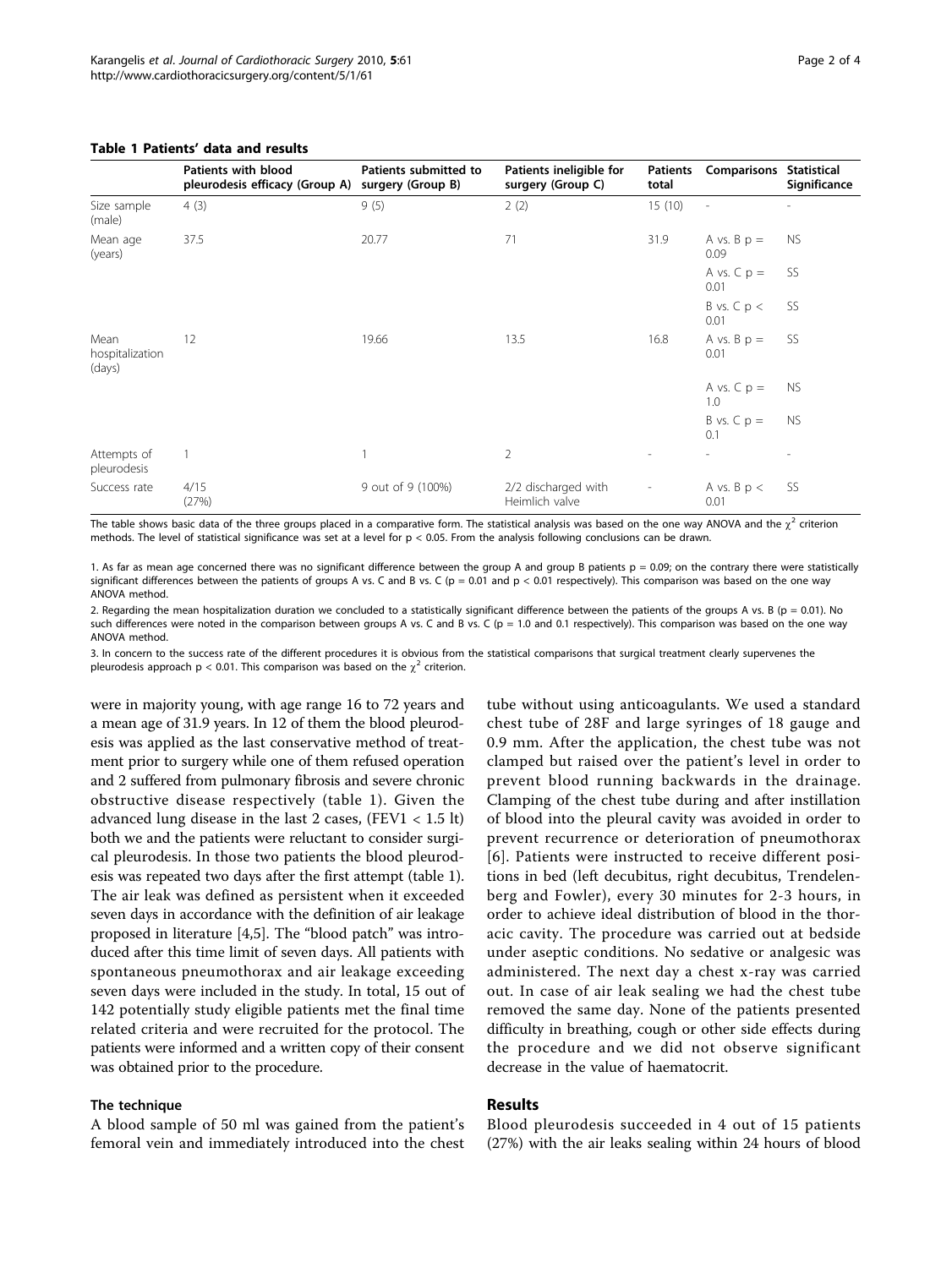|                                   | <b>Patients with blood</b><br>pleurodesis efficacy (Group A) | Patients submitted to<br>surgery (Group B) | Patients ineligible for<br>surgery (Group C) | Patients<br>total        | Comparisons               | Statistical<br>Significance |
|-----------------------------------|--------------------------------------------------------------|--------------------------------------------|----------------------------------------------|--------------------------|---------------------------|-----------------------------|
| Size sample<br>(male)             | 4(3)                                                         | 9(5)                                       | 2(2)                                         | 15(10)                   | $\overline{\phantom{a}}$  | $\overline{a}$              |
| Mean age<br>(years)               | 37.5                                                         | 20.77                                      | 71                                           | 31.9                     | A vs. $B$ $p =$<br>0.09   | <b>NS</b>                   |
|                                   |                                                              |                                            |                                              |                          | A vs. $C$ $p =$<br>0.01   | SS                          |
|                                   |                                                              |                                            |                                              |                          | B vs. $C$ $p$ $<$<br>0.01 | <b>SS</b>                   |
| Mean<br>hospitalization<br>(days) | 12                                                           | 19.66                                      | 13.5                                         | 16.8                     | A vs. $B$ $p =$<br>0.01   | <b>SS</b>                   |
|                                   |                                                              |                                            |                                              |                          | A vs. $C$ $p =$<br>1.0    | <b>NS</b>                   |
|                                   |                                                              |                                            |                                              |                          | B vs. $C$ $p =$<br>0.1    | <b>NS</b>                   |
| Attempts of<br>pleurodesis        |                                                              |                                            | $\overline{2}$                               | $\overline{\phantom{a}}$ |                           | $\overline{\phantom{a}}$    |
| Success rate                      | 4/15<br>(27%)                                                | 9 out of 9 (100%)                          | 2/2 discharged with<br>Heimlich valve        | $\overline{\phantom{0}}$ | A vs. $B$ $p$ <<br>0.01   | <b>SS</b>                   |

#### <span id="page-1-0"></span>Table 1 Patients' data and results

The table shows basic data of the three groups placed in a comparative form. The statistical analysis was based on the one way ANOVA and the  $\chi^2$  criterion methods. The level of statistical significance was set at a level for  $p < 0.05$ . From the analysis following conclusions can be drawn.

1. As far as mean age concerned there was no significant difference between the group A and group B patients  $p = 0.09$ ; on the contrary there were statistically significant differences between the patients of groups A vs. C and B vs. C (p = 0.01 and p < 0.01 respectively). This comparison was based on the one way ANOVA method.

2. Regarding the mean hospitalization duration we concluded to a statistically significant difference between the patients of the groups A vs. B (p = 0.01). No such differences were noted in the comparison between groups A vs. C and B vs. C (p = 1.0 and 0.1 respectively). This comparison was based on the one way ANOVA method.

3. In concern to the success rate of the different procedures it is obvious from the statistical comparisons that surgical treatment clearly supervenes the pleurodesis approach  $p < 0.01$ . This comparison was based on the  $\chi^2$  criterion.

were in majority young, with age range 16 to 72 years and a mean age of 31.9 years. In 12 of them the blood pleurodesis was applied as the last conservative method of treatment prior to surgery while one of them refused operation and 2 suffered from pulmonary fibrosis and severe chronic obstructive disease respectively (table 1). Given the advanced lung disease in the last 2 cases, (FEV1  $<$  1.5 lt) both we and the patients were reluctant to consider surgical pleurodesis. In those two patients the blood pleurodesis was repeated two days after the first attempt (table 1). The air leak was defined as persistent when it exceeded seven days in accordance with the definition of air leakage proposed in literature [\[4](#page-3-0),[5](#page-3-0)]. The "blood patch" was introduced after this time limit of seven days. All patients with spontaneous pneumothorax and air leakage exceeding seven days were included in the study. In total, 15 out of 142 potentially study eligible patients met the final time related criteria and were recruited for the protocol. The patients were informed and a written copy of their consent was obtained prior to the procedure.

#### The technique

A blood sample of 50 ml was gained from the patient's femoral vein and immediately introduced into the chest

tube without using anticoagulants. We used a standard chest tube of 28F and large syringes of 18 gauge and 0.9 mm. After the application, the chest tube was not clamped but raised over the patient's level in order to prevent blood running backwards in the drainage. Clamping of the chest tube during and after instillation of blood into the pleural cavity was avoided in order to prevent recurrence or deterioration of pneumothorax [[6](#page-3-0)]. Patients were instructed to receive different positions in bed (left decubitus, right decubitus, Trendelenberg and Fowler), every 30 minutes for 2-3 hours, in order to achieve ideal distribution of blood in the thoracic cavity. The procedure was carried out at bedside under aseptic conditions. No sedative or analgesic was administered. The next day a chest x-ray was carried out. In case of air leak sealing we had the chest tube removed the same day. None of the patients presented difficulty in breathing, cough or other side effects during the procedure and we did not observe significant decrease in the value of haematocrit.

## Results

Blood pleurodesis succeeded in 4 out of 15 patients (27%) with the air leaks sealing within 24 hours of blood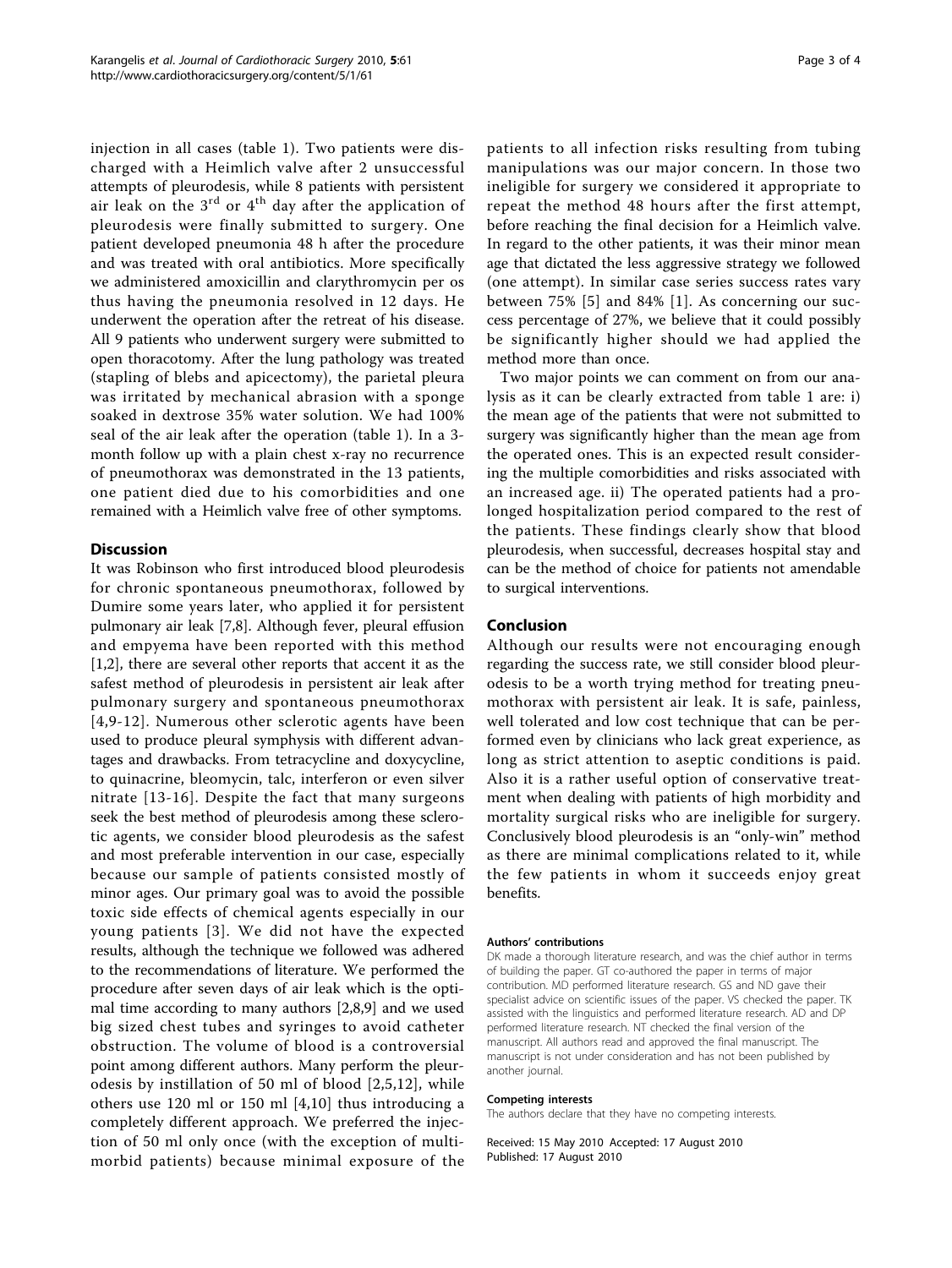injection in all cases (table [1\)](#page-1-0). Two patients were discharged with a Heimlich valve after 2 unsuccessful attempts of pleurodesis, while 8 patients with persistent air leak on the  $3<sup>rd</sup>$  or  $4<sup>th</sup>$  day after the application of pleurodesis were finally submitted to surgery. One patient developed pneumonia 48 h after the procedure and was treated with oral antibiotics. More specifically we administered amoxicillin and clarythromycin per os thus having the pneumonia resolved in 12 days. He underwent the operation after the retreat of his disease. All 9 patients who underwent surgery were submitted to open thoracotomy. After the lung pathology was treated (stapling of blebs and apicectomy), the parietal pleura was irritated by mechanical abrasion with a sponge soaked in dextrose 35% water solution. We had 100% seal of the air leak after the operation (table [1\)](#page-1-0). In a 3 month follow up with a plain chest x-ray no recurrence of pneumothorax was demonstrated in the 13 patients, one patient died due to his comorbidities and one remained with a Heimlich valve free of other symptoms.

## **Discussion**

It was Robinson who first introduced blood pleurodesis for chronic spontaneous pneumothorax, followed by Dumire some years later, who applied it for persistent pulmonary air leak [\[7,8](#page-3-0)]. Although fever, pleural effusion and empyema have been reported with this method [[1,2\]](#page-3-0), there are several other reports that accent it as the safest method of pleurodesis in persistent air leak after pulmonary surgery and spontaneous pneumothorax [[4](#page-3-0),[9](#page-3-0)-[12\]](#page-3-0). Numerous other sclerotic agents have been used to produce pleural symphysis with different advantages and drawbacks. From tetracycline and doxycycline, to quinacrine, bleomycin, talc, interferon or even silver nitrate [[13-16](#page-3-0)]. Despite the fact that many surgeons seek the best method of pleurodesis among these sclerotic agents, we consider blood pleurodesis as the safest and most preferable intervention in our case, especially because our sample of patients consisted mostly of minor ages. Our primary goal was to avoid the possible toxic side effects of chemical agents especially in our young patients [[3\]](#page-3-0). We did not have the expected results, although the technique we followed was adhered to the recommendations of literature. We performed the procedure after seven days of air leak which is the optimal time according to many authors [[2,8,9\]](#page-3-0) and we used big sized chest tubes and syringes to avoid catheter obstruction. The volume of blood is a controversial point among different authors. Many perform the pleurodesis by instillation of 50 ml of blood [\[2](#page-3-0),[5,12\]](#page-3-0), while others use 120 ml or 150 ml [[4,10](#page-3-0)] thus introducing a completely different approach. We preferred the injection of 50 ml only once (with the exception of multimorbid patients) because minimal exposure of the patients to all infection risks resulting from tubing manipulations was our major concern. In those two ineligible for surgery we considered it appropriate to repeat the method 48 hours after the first attempt, before reaching the final decision for a Heimlich valve. In regard to the other patients, it was their minor mean age that dictated the less aggressive strategy we followed (one attempt). In similar case series success rates vary between 75% [\[5\]](#page-3-0) and 84% [[1\]](#page-3-0). As concerning our success percentage of 27%, we believe that it could possibly be significantly higher should we had applied the method more than once.

Two major points we can comment on from our analysis as it can be clearly extracted from table [1](#page-1-0) are: i) the mean age of the patients that were not submitted to surgery was significantly higher than the mean age from the operated ones. This is an expected result considering the multiple comorbidities and risks associated with an increased age. ii) The operated patients had a prolonged hospitalization period compared to the rest of the patients. These findings clearly show that blood pleurodesis, when successful, decreases hospital stay and can be the method of choice for patients not amendable to surgical interventions.

#### Conclusion

Although our results were not encouraging enough regarding the success rate, we still consider blood pleurodesis to be a worth trying method for treating pneumothorax with persistent air leak. It is safe, painless, well tolerated and low cost technique that can be performed even by clinicians who lack great experience, as long as strict attention to aseptic conditions is paid. Also it is a rather useful option of conservative treatment when dealing with patients of high morbidity and mortality surgical risks who are ineligible for surgery. Conclusively blood pleurodesis is an "only-win" method as there are minimal complications related to it, while the few patients in whom it succeeds enjoy great benefits.

#### Authors' contributions

DK made a thorough literature research, and was the chief author in terms of building the paper. GT co-authored the paper in terms of major contribution. MD performed literature research. GS and ND gave their specialist advice on scientific issues of the paper. VS checked the paper. TK assisted with the linguistics and performed literature research. AD and DP performed literature research. NT checked the final version of the manuscript. All authors read and approved the final manuscript. The manuscript is not under consideration and has not been published by another journal.

#### Competing interests

The authors declare that they have no competing interests.

Received: 15 May 2010 Accepted: 17 August 2010 Published: 17 August 2010